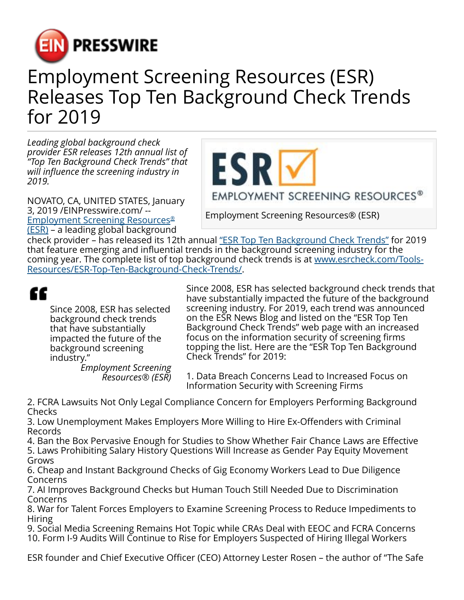

## Employment Screening Resources (ESR) Releases Top Ten Background Check Trends for 2019

*Leading global background check provider ESR releases 12th annual list of "Top Ten Background Check Trends" that will influence the screening industry in 2019.*

NOVATO, CA, UNITED STATES, January 3, 2019 /[EINPresswire.com/](http://www.einpresswire.com) -- [Employment Screening Resources](http://www.esrcheck.com)[®](http://www.esrcheck.com) [\(ESR\)](http://www.esrcheck.com) – a leading global background

ESR EMPLOYMENT SCREENING RESOURCES®

Employment Screening Resources® (ESR)

check provider – has released its 12th annual ["ESR Top Ten Background Check Trends"](http://www.esrcheck.com/Tools-Resources/ESR-Top-Ten-Background-Check-Trends/) for 2019 that feature emerging and influential trends in the background screening industry for the coming year. The complete list of top background check trends is at [www.esrcheck.com/Tools-](http://www.esrcheck.com/Tools-Resources/ESR-Top-Ten-Background-Check-Trends/)[Resources/ESR-Top-Ten-Background-Check-Trends/](http://www.esrcheck.com/Tools-Resources/ESR-Top-Ten-Background-Check-Trends/).

## ff.

Since 2008, ESR has selected background check trends that have substantially impacted the future of the background screening industry."

*Employment Screening Resources® (ESR)*

Since 2008, ESR has selected background check trends that have substantially impacted the future of the background screening industry. For 2019, each trend was announced on the ESR News Blog and listed on the "ESR Top Ten Background Check Trends" web page with an increased focus on the information security of screening firms topping the list. Here are the "ESR Top Ten Background Check Trends" for 2019:

1. Data Breach Concerns Lead to Increased Focus on Information Security with Screening Firms

2. FCRA Lawsuits Not Only Legal Compliance Concern for Employers Performing Background Checks

3. Low Unemployment Makes Employers More Willing to Hire Ex-Offenders with Criminal Records

4. Ban the Box Pervasive Enough for Studies to Show Whether Fair Chance Laws are Effective 5. Laws Prohibiting Salary History Questions Will Increase as Gender Pay Equity Movement Grows

6. Cheap and Instant Background Checks of Gig Economy Workers Lead to Due Diligence Concerns

7. AI Improves Background Checks but Human Touch Still Needed Due to Discrimination Concerns

8. War for Talent Forces Employers to Examine Screening Process to Reduce Impediments to Hiring

9. Social Media Screening Remains Hot Topic while CRAs Deal with EEOC and FCRA Concerns 10. Form I-9 Audits Will Continue to Rise for Employers Suspected of Hiring Illegal Workers

ESR founder and Chief Executive Officer (CEO) Attorney Lester Rosen – the author of "The Safe